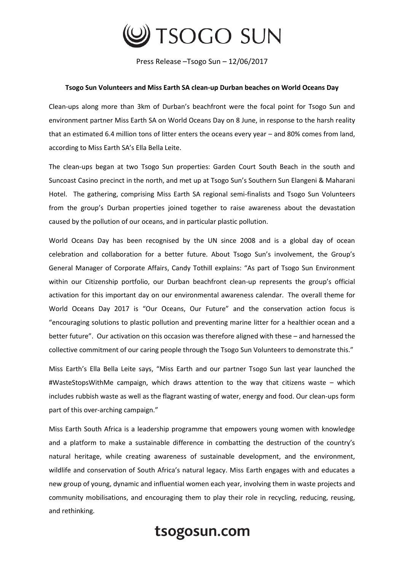

Press Release –Tsogo Sun – 12/06/2017

## **Tsogo Sun Volunteers and Miss Earth SA clean-up Durban beaches on World Oceans Day**

Clean-ups along more than 3km of Durban's beachfront were the focal point for Tsogo Sun and environment partner Miss Earth SA on World Oceans Day on 8 June, in response to the harsh reality that an estimated 6.4 million tons of litter enters the oceans every year – and 80% comes from land, according to Miss Earth SA's Ella Bella Leite.

The clean-ups began at two Tsogo Sun properties: Garden Court South Beach in the south and Suncoast Casino precinct in the north, and met up at Tsogo Sun's Southern Sun Elangeni & Maharani Hotel. The gathering, comprising Miss Earth SA regional semi-finalists and Tsogo Sun Volunteers from the group's Durban properties joined together to raise awareness about the devastation caused by the pollution of our oceans, and in particular plastic pollution.

World Oceans Day has been recognised by the UN since 2008 and is a global day of ocean celebration and collaboration for a better future. About Tsogo Sun's involvement, the Group's General Manager of Corporate Affairs, Candy Tothill explains: "As part of Tsogo Sun Environment within our Citizenship portfolio, our Durban beachfront clean-up represents the group's official activation for this important day on our environmental awareness calendar. The overall theme for World Oceans Day 2017 is "Our Oceans, Our Future" and the conservation action focus is "encouraging solutions to plastic pollution and preventing marine litter for a healthier ocean and a better future". Our activation on this occasion was therefore aligned with these – and harnessed the collective commitment of our caring people through the Tsogo Sun Volunteers to demonstrate this."

Miss Earth's Ella Bella Leite says, "Miss Earth and our partner Tsogo Sun last year launched the #WasteStopsWithMe campaign, which draws attention to the way that citizens waste – which includes rubbish waste as well as the flagrant wasting of water, energy and food. Our clean-ups form part of this over-arching campaign."

Miss Earth South Africa is a leadership programme that empowers young women with knowledge and a platform to make a sustainable difference in combatting the destruction of the country's natural heritage, while creating awareness of sustainable development, and the environment, wildlife and conservation of South Africa's natural legacy. Miss Earth engages with and educates a new group of young, dynamic and influential women each year, involving them in waste projects and community mobilisations, and encouraging them to play their role in recycling, reducing, reusing, and rethinking.

## tsogosun.com